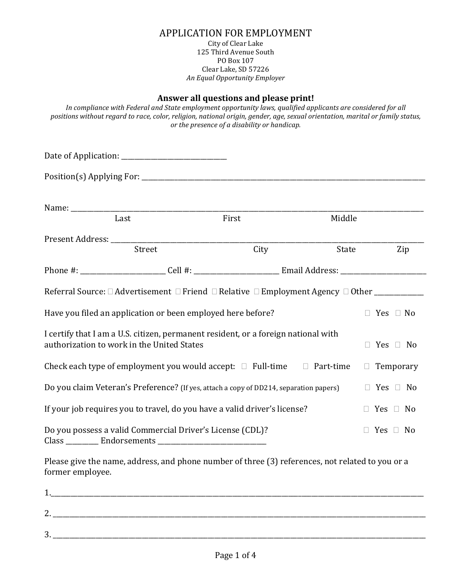# APPLICATION FOR EMPLOYMENT

#### City of Clear Lake 125 Third Avenue South PO Box 107 Clear Lake, SD 57226 *An Equal Opportunity Employer*

#### **Answer all questions and please print!**

*In compliance with Federal and State employment opportunity laws, qualified applicants are considered for all positions without regard to race, color, religion, national origin, gender, age, sexual orientation, marital or family status, or the presence of a disability or handicap.*

|                  | Last                                                                                                                             | First | Middle |                      |
|------------------|----------------------------------------------------------------------------------------------------------------------------------|-------|--------|----------------------|
|                  |                                                                                                                                  |       |        |                      |
|                  | Street                                                                                                                           | City  | State  | Zip                  |
|                  |                                                                                                                                  |       |        |                      |
|                  | Referral Source: □ Advertisement □ Friend □ Relative □ Employment Agency □ Other __________                                      |       |        |                      |
|                  | Have you filed an application or been employed here before?                                                                      |       |        | $\Box$ Yes $\Box$ No |
|                  | I certify that I am a U.S. citizen, permanent resident, or a foreign national with<br>authorization to work in the United States |       |        | Yes $\Box$ No        |
|                  | Check each type of employment you would accept: $\Box$ Full-time $\Box$ Part-time                                                |       |        | Temporary<br>$\Box$  |
|                  | Do you claim Veteran's Preference? (If yes, attach a copy of DD214, separation papers)                                           |       |        | $\Box$ Yes $\Box$ No |
|                  | If your job requires you to travel, do you have a valid driver's license?                                                        |       |        | $\Box$ Yes $\Box$ No |
|                  | Do you possess a valid Commercial Driver's License (CDL)?                                                                        |       |        | $\Box$ Yes $\Box$ No |
| former employee. | Please give the name, address, and phone number of three (3) references, not related to you or a                                 |       |        |                      |
|                  |                                                                                                                                  |       |        |                      |
|                  |                                                                                                                                  |       |        |                      |

3. \_\_\_\_\_\_\_\_\_\_\_\_\_\_\_\_\_\_\_\_\_\_\_\_\_\_\_\_\_\_\_\_\_\_\_\_\_\_\_\_\_\_\_\_\_\_\_\_\_\_\_\_\_\_\_\_\_\_\_\_\_\_\_\_\_\_\_\_\_\_\_\_\_\_\_\_\_\_\_\_\_\_\_\_\_\_\_\_\_\_\_\_\_\_\_\_\_\_\_\_\_\_\_\_\_\_\_\_\_\_\_\_\_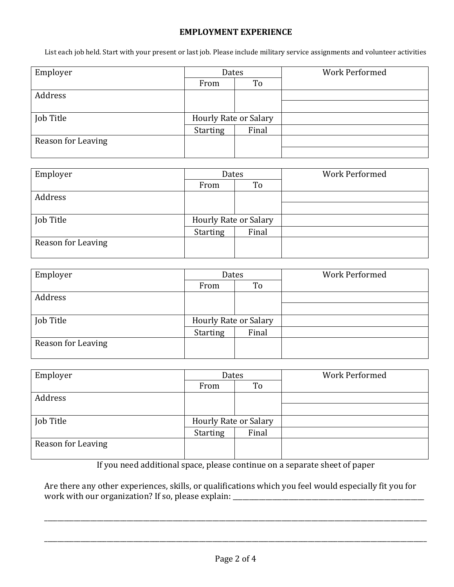### **EMPLOYMENT EXPERIENCE**

List each job held. Start with your present or last job. Please include military service assignments and volunteer activities

| Employer           | Dates                 |       | <b>Work Performed</b> |  |  |  |
|--------------------|-----------------------|-------|-----------------------|--|--|--|
|                    | From                  | To    |                       |  |  |  |
| Address            |                       |       |                       |  |  |  |
|                    |                       |       |                       |  |  |  |
| Job Title          | Hourly Rate or Salary |       |                       |  |  |  |
|                    | <b>Starting</b>       | Final |                       |  |  |  |
| Reason for Leaving |                       |       |                       |  |  |  |
|                    |                       |       |                       |  |  |  |

| Employer           | Dates                 |       | <b>Work Performed</b> |
|--------------------|-----------------------|-------|-----------------------|
|                    | From                  | To    |                       |
| Address            |                       |       |                       |
|                    |                       |       |                       |
| Job Title          | Hourly Rate or Salary |       |                       |
|                    | <b>Starting</b>       | Final |                       |
| Reason for Leaving |                       |       |                       |

| Dates                 |       | <b>Work Performed</b> |  |  |  |  |
|-----------------------|-------|-----------------------|--|--|--|--|
| From                  | To    |                       |  |  |  |  |
|                       |       |                       |  |  |  |  |
|                       |       |                       |  |  |  |  |
| Hourly Rate or Salary |       |                       |  |  |  |  |
| <b>Starting</b>       | Final |                       |  |  |  |  |
|                       |       |                       |  |  |  |  |
|                       |       |                       |  |  |  |  |

| Employer           | Dates                        |       | <b>Work Performed</b> |
|--------------------|------------------------------|-------|-----------------------|
|                    | From                         | To    |                       |
| Address            |                              |       |                       |
|                    |                              |       |                       |
| Job Title          | <b>Hourly Rate or Salary</b> |       |                       |
|                    | <b>Starting</b>              | Final |                       |
| Reason for Leaving |                              |       |                       |

If you need additional space, please continue on a separate sheet of paper

Are there any other experiences, skills, or qualifications which you feel would especially fit you for work with our organization? If so, please explain: \_\_\_\_\_\_\_\_\_\_\_\_\_\_\_\_\_\_\_\_\_\_\_\_\_\_\_\_\_\_

\_\_\_\_\_\_\_\_\_\_\_\_\_\_\_\_\_\_\_\_\_\_\_\_\_\_\_\_\_\_\_\_\_\_\_\_\_\_\_\_\_\_\_\_\_\_\_\_\_\_\_\_\_\_\_\_\_\_\_\_\_\_\_\_\_\_\_\_\_\_\_\_\_\_\_\_\_\_\_\_\_\_\_\_\_\_\_\_\_\_\_\_\_\_\_\_\_\_\_\_\_\_\_\_\_\_\_\_\_\_\_\_\_\_\_\_

\_\_\_\_\_\_\_\_\_\_\_\_\_\_\_\_\_\_\_\_\_\_\_\_\_\_\_\_\_\_\_\_\_\_\_\_\_\_\_\_\_\_\_\_\_\_\_\_\_\_\_\_\_\_\_\_\_\_\_\_\_\_\_\_\_\_\_\_\_\_\_\_\_\_\_\_\_\_\_\_\_\_\_\_\_\_\_\_\_\_\_\_\_\_\_\_\_\_\_\_\_\_\_\_\_\_\_\_\_\_\_\_\_\_\_\_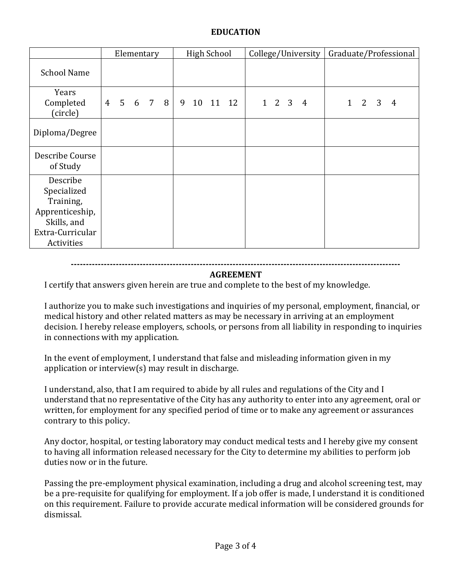## **EDUCATION**

|                                                                                                          |                | Elementary     |       |   | <b>High School</b> |          |  |                   | College/University | Graduate/Professional |            |                         |   |  |
|----------------------------------------------------------------------------------------------------------|----------------|----------------|-------|---|--------------------|----------|--|-------------------|--------------------|-----------------------|------------|-------------------------|---|--|
| <b>School Name</b>                                                                                       |                |                |       |   |                    |          |  |                   |                    |                       |            |                         |   |  |
| Years<br>Completed<br>(circle)                                                                           | $\overline{4}$ | 5 <sup>7</sup> | 6 7 8 | 9 |                    | 10 11 12 |  | $1\quad 2\quad 3$ | 4                  |                       | $1\quad 2$ | $\overline{\mathbf{3}}$ | 4 |  |
| Diploma/Degree                                                                                           |                |                |       |   |                    |          |  |                   |                    |                       |            |                         |   |  |
| Describe Course<br>of Study                                                                              |                |                |       |   |                    |          |  |                   |                    |                       |            |                         |   |  |
| Describe<br>Specialized<br>Training,<br>Apprenticeship,<br>Skills, and<br>Extra-Curricular<br>Activities |                |                |       |   |                    |          |  |                   |                    |                       |            |                         |   |  |

#### **--------------------------------------------------------------------------------------------------------------**

## **AGREEMENT**

I certify that answers given herein are true and complete to the best of my knowledge.

I authorize you to make such investigations and inquiries of my personal, employment, financial, or medical history and other related matters as may be necessary in arriving at an employment decision. I hereby release employers, schools, or persons from all liability in responding to inquiries in connections with my application.

In the event of employment, I understand that false and misleading information given in my application or interview(s) may result in discharge.

I understand, also, that I am required to abide by all rules and regulations of the City and I understand that no representative of the City has any authority to enter into any agreement, oral or written, for employment for any specified period of time or to make any agreement or assurances contrary to this policy.

Any doctor, hospital, or testing laboratory may conduct medical tests and I hereby give my consent to having all information released necessary for the City to determine my abilities to perform job duties now or in the future.

Passing the pre-employment physical examination, including a drug and alcohol screening test, may be a pre-requisite for qualifying for employment. If a job offer is made, I understand it is conditioned on this requirement. Failure to provide accurate medical information will be considered grounds for dismissal.